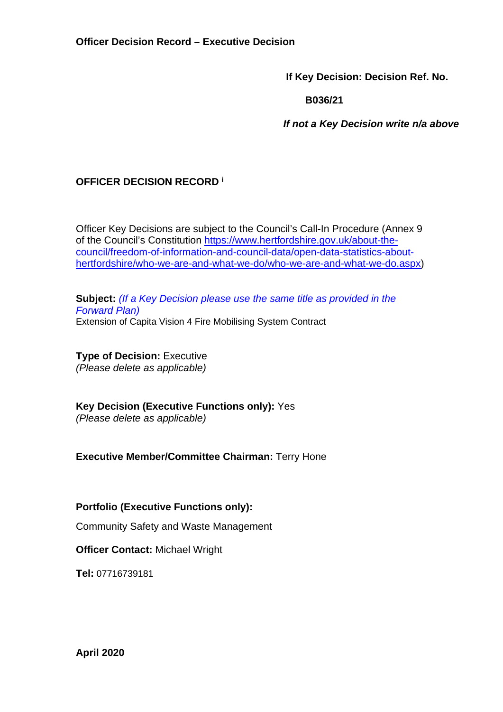**If Key Decision: Decision Ref. No.** 

 **B036/21** 

 *If not a Key Decision write n/a above* 

# **OFFICER DECISION RECORD <sup>i</sup>**

Officer Key Decisions are subject to the Council's Call-In Procedure (Annex 9 of the Council's Constitution https://www.hertfordshire.gov.uk/about-thecouncil/freedom-of-information-and-council-data/open-data-statistics-abouthertfordshire/who-we-are-and-what-we-do/who-we-are-and-what-we-do.aspx)

**Subject:** *(If a Key Decision please use the same title as provided in the Forward Plan)*  Extension of Capita Vision 4 Fire Mobilising System Contract

**Type of Decision: Executive** *(Please delete as applicable)* 

**Key Decision (Executive Functions only):** Yes *(Please delete as applicable)* 

**Executive Member/Committee Chairman:** Terry Hone

**Portfolio (Executive Functions only):**

Community Safety and Waste Management

**Officer Contact:** Michael Wright

**Tel:** 07716739181

**April 2020**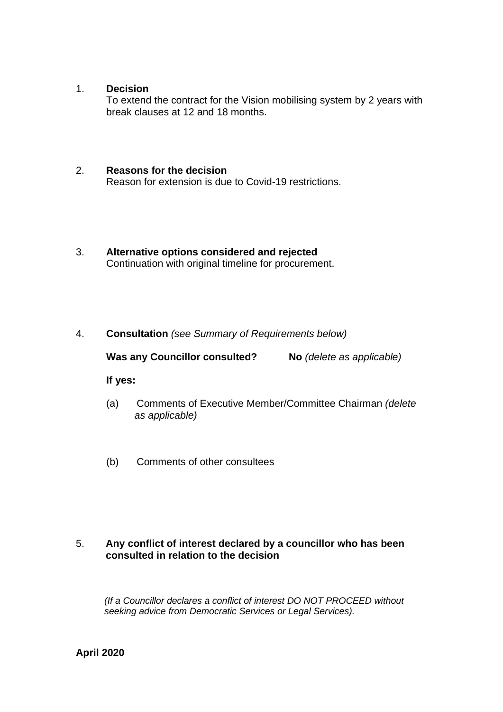#### 1. **Decision**

To extend the contract for the Vision mobilising system by 2 years with break clauses at 12 and 18 months.

#### 2. **Reasons for the decision**

Reason for extension is due to Covid-19 restrictions.

3. **Alternative options considered and rejected**  Continuation with original timeline for procurement.

## 4. **Consultation** *(see Summary of Requirements below)*

**Was any Councillor consulted? No** *(delete as applicable)* 

#### **If yes:**

- (a) Comments of Executive Member/Committee Chairman *(delete as applicable)*
- (b) Comments of other consultees

## 5. **Any conflict of interest declared by a councillor who has been consulted in relation to the decision**

 *(If a Councillor declares a conflict of interest DO NOT PROCEED without seeking advice from Democratic Services or Legal Services).*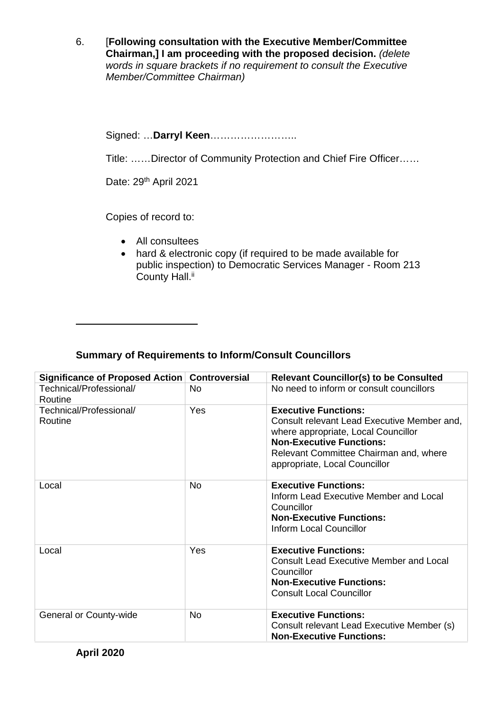6. [**Following consultation with the Executive Member/Committee Chairman,] I am proceeding with the proposed decision.** *(delete words in square brackets if no requirement to consult the Executive Member/Committee Chairman)* 

Signed: …**Darryl Keen**……………………..

Title: ……Director of Community Protection and Chief Fire Officer……

Date: 29<sup>th</sup> April 2021

Copies of record to:

- All consultees
- hard & electronic copy (if required to be made available for public inspection) to Democratic Services Manager - Room 213 County Hall.<sup>ii</sup>

## **Summary of Requirements to Inform/Consult Councillors**

| Significance of Proposed Action    | <b>Controversial</b> | <b>Relevant Councillor(s) to be Consulted</b>                                                                                                                                                                                   |
|------------------------------------|----------------------|---------------------------------------------------------------------------------------------------------------------------------------------------------------------------------------------------------------------------------|
| Technical/Professional/<br>Routine | No.                  | No need to inform or consult councillors                                                                                                                                                                                        |
| Technical/Professional/<br>Routine | Yes                  | <b>Executive Functions:</b><br>Consult relevant Lead Executive Member and,<br>where appropriate, Local Councillor<br><b>Non-Executive Functions:</b><br>Relevant Committee Chairman and, where<br>appropriate, Local Councillor |
| Local                              | <b>No</b>            | <b>Executive Functions:</b><br>Inform Lead Executive Member and Local<br>Councillor<br><b>Non-Executive Functions:</b><br>Inform Local Councillor                                                                               |
| Local                              | Yes                  | <b>Executive Functions:</b><br><b>Consult Lead Executive Member and Local</b><br>Councillor<br><b>Non-Executive Functions:</b><br><b>Consult Local Councillor</b>                                                               |
| General or County-wide             | <b>No</b>            | <b>Executive Functions:</b><br>Consult relevant Lead Executive Member (s)<br><b>Non-Executive Functions:</b>                                                                                                                    |